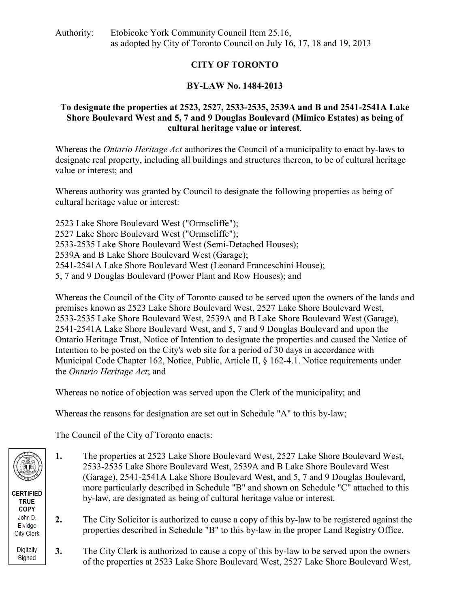Authority: Etobicoke York Community Council Item 25.16, as adopted by City of Toronto Council on July 16, 17, 18 and 19, 2013

# **CITY OF TORONTO**

# **BY-LAW No. 1484-2013**

## **To designate the properties at 2523, 2527, 2533-2535, 2539A and B and 2541-2541A Lake Shore Boulevard West and 5, 7 and 9 Douglas Boulevard (Mimico Estates) as being of cultural heritage value or interest**.

Whereas the *Ontario Heritage Act* authorizes the Council of a municipality to enact by-laws to designate real property, including all buildings and structures thereon, to be of cultural heritage value or interest; and

Whereas authority was granted by Council to designate the following properties as being of cultural heritage value or interest:

2523 Lake Shore Boulevard West ("Ormscliffe"); 2527 Lake Shore Boulevard West ("Ormscliffe"); 2533-2535 Lake Shore Boulevard West (Semi-Detached Houses); 2539A and B Lake Shore Boulevard West (Garage); 2541-2541A Lake Shore Boulevard West (Leonard Franceschini House); 5, 7 and 9 Douglas Boulevard (Power Plant and Row Houses); and

Whereas the Council of the City of Toronto caused to be served upon the owners of the lands and premises known as 2523 Lake Shore Boulevard West, 2527 Lake Shore Boulevard West, 2533-2535 Lake Shore Boulevard West, 2539A and B Lake Shore Boulevard West (Garage), 2541-2541A Lake Shore Boulevard West, and 5, 7 and 9 Douglas Boulevard and upon the Ontario Heritage Trust, Notice of Intention to designate the properties and caused the Notice of Intention to be posted on the City's web site for a period of 30 days in accordance with Municipal Code Chapter 162, Notice, Public, Article II, § 162-4.1. Notice requirements under the *Ontario Heritage Act*; and

Whereas no notice of objection was served upon the Clerk of the municipality; and

Whereas the reasons for designation are set out in Schedule "A" to this by-law;

The Council of the City of Toronto enacts:



**CERTIFIED TRUE** COPY John D. Elvidge City Clerk Digitally Signed

- **1.** The properties at 2523 Lake Shore Boulevard West, 2527 Lake Shore Boulevard West, 2533-2535 Lake Shore Boulevard West, 2539A and B Lake Shore Boulevard West (Garage), 2541-2541A Lake Shore Boulevard West, and 5, 7 and 9 Douglas Boulevard, more particularly described in Schedule "B" and shown on Schedule "C" attached to this by-law, are designated as being of cultural heritage value or interest.
- **2.** The City Solicitor is authorized to cause a copy of this by-law to be registered against the properties described in Schedule "B" to this by-law in the proper Land Registry Office.
- **3.** The City Clerk is authorized to cause a copy of this by-law to be served upon the owners of the properties at 2523 Lake Shore Boulevard West, 2527 Lake Shore Boulevard West,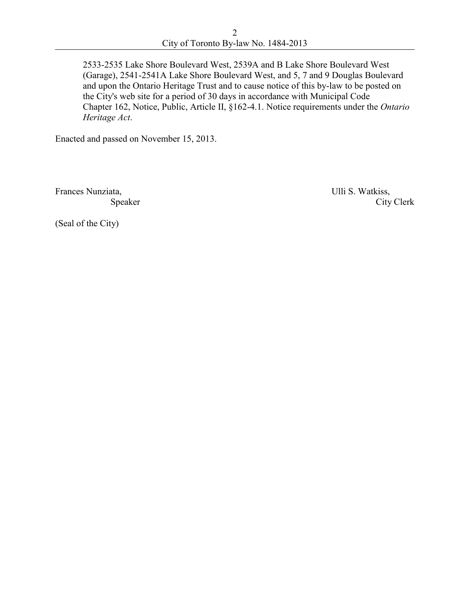2533-2535 Lake Shore Boulevard West, 2539A and B Lake Shore Boulevard West (Garage), 2541-2541A Lake Shore Boulevard West, and 5, 7 and 9 Douglas Boulevard and upon the Ontario Heritage Trust and to cause notice of this by-law to be posted on the City's web site for a period of 30 days in accordance with Municipal Code Chapter 162, Notice, Public, Article II, §162-4.1. Notice requirements under the *Ontario Heritage Act*.

Enacted and passed on November 15, 2013.

Frances Nunziata, Ulli S. Watkiss,

Speaker City Clerk

(Seal of the City)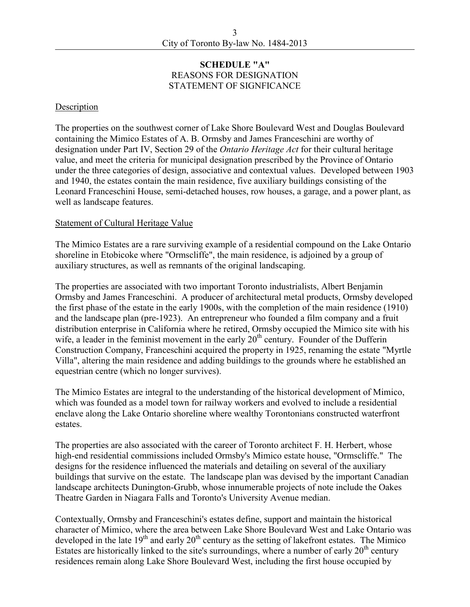#### **SCHEDULE "A"** REASONS FOR DESIGNATION STATEMENT OF SIGNFICANCE

#### Description

The properties on the southwest corner of Lake Shore Boulevard West and Douglas Boulevard containing the Mimico Estates of A. B. Ormsby and James Franceschini are worthy of designation under Part IV, Section 29 of the *Ontario Heritage Act* for their cultural heritage value, and meet the criteria for municipal designation prescribed by the Province of Ontario under the three categories of design, associative and contextual values. Developed between 1903 and 1940, the estates contain the main residence, five auxiliary buildings consisting of the Leonard Franceschini House, semi-detached houses, row houses, a garage, and a power plant, as well as landscape features.

#### Statement of Cultural Heritage Value

The Mimico Estates are a rare surviving example of a residential compound on the Lake Ontario shoreline in Etobicoke where "Ormscliffe", the main residence, is adjoined by a group of auxiliary structures, as well as remnants of the original landscaping.

The properties are associated with two important Toronto industrialists, Albert Benjamin Ormsby and James Franceschini. A producer of architectural metal products, Ormsby developed the first phase of the estate in the early 1900s, with the completion of the main residence (1910) and the landscape plan (pre-1923). An entrepreneur who founded a film company and a fruit distribution enterprise in California where he retired, Ormsby occupied the Mimico site with his wife, a leader in the feminist movement in the early  $20<sup>th</sup>$  century. Founder of the Dufferin Construction Company, Franceschini acquired the property in 1925, renaming the estate "Myrtle Villa", altering the main residence and adding buildings to the grounds where he established an equestrian centre (which no longer survives).

The Mimico Estates are integral to the understanding of the historical development of Mimico, which was founded as a model town for railway workers and evolved to include a residential enclave along the Lake Ontario shoreline where wealthy Torontonians constructed waterfront estates.

The properties are also associated with the career of Toronto architect F. H. Herbert, whose high-end residential commissions included Ormsby's Mimico estate house, "Ormscliffe." The designs for the residence influenced the materials and detailing on several of the auxiliary buildings that survive on the estate. The landscape plan was devised by the important Canadian landscape architects Dunington-Grubb, whose innumerable projects of note include the Oakes Theatre Garden in Niagara Falls and Toronto's University Avenue median.

Contextually, Ormsby and Franceschini's estates define, support and maintain the historical character of Mimico, where the area between Lake Shore Boulevard West and Lake Ontario was developed in the late  $19<sup>th</sup>$  and early  $20<sup>th</sup>$  century as the setting of lakefront estates. The Mimico Estates are historically linked to the site's surroundings, where a number of early  $20<sup>th</sup>$  century residences remain along Lake Shore Boulevard West, including the first house occupied by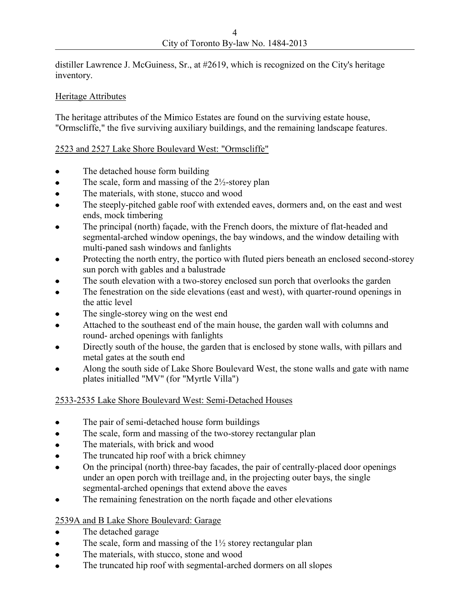distiller Lawrence J. McGuiness, Sr., at #2619, which is recognized on the City's heritage inventory.

## Heritage Attributes

The heritage attributes of the Mimico Estates are found on the surviving estate house, "Ormscliffe," the five surviving auxiliary buildings, and the remaining landscape features.

## 2523 and 2527 Lake Shore Boulevard West: "Ormscliffe"

- The detached house form building  $\bullet$
- The scale, form and massing of the  $2\frac{1}{2}$ -storey plan  $\bullet$
- The materials, with stone, stucco and wood  $\bullet$
- The steeply-pitched gable roof with extended eaves, dormers and, on the east and west ends, mock timbering
- The principal (north) façade, with the French doors, the mixture of flat-headed and segmental-arched window openings, the bay windows, and the window detailing with multi-paned sash windows and fanlights
- Protecting the north entry, the portico with fluted piers beneath an enclosed second-storey  $\bullet$ sun porch with gables and a balustrade
- The south elevation with a two-storey enclosed sun porch that overlooks the garden
- The fenestration on the side elevations (east and west), with quarter-round openings in the attic level
- The single-storey wing on the west end
- Attached to the southeast end of the main house, the garden wall with columns and  $\bullet$ round- arched openings with fanlights
- Directly south of the house, the garden that is enclosed by stone walls, with pillars and  $\bullet$ metal gates at the south end
- Along the south side of Lake Shore Boulevard West, the stone walls and gate with name plates initialled "MV" (for "Myrtle Villa")

### 2533-2535 Lake Shore Boulevard West: Semi-Detached Houses

- The pair of semi-detached house form buildings
- The scale, form and massing of the two-storey rectangular plan  $\bullet$
- The materials, with brick and wood  $\bullet$
- The truncated hip roof with a brick chimney  $\bullet$
- On the principal (north) three-bay facades, the pair of centrally-placed door openings under an open porch with treillage and, in the projecting outer bays, the single segmental-arched openings that extend above the eaves
- The remaining fenestration on the north façade and other elevations  $\bullet$

### 2539A and B Lake Shore Boulevard: Garage

- The detached garage  $\bullet$
- The scale, form and massing of the 1½ storey rectangular plan  $\bullet$
- The materials, with stucco, stone and wood  $\bullet$
- The truncated hip roof with segmental-arched dormers on all slopes $\bullet$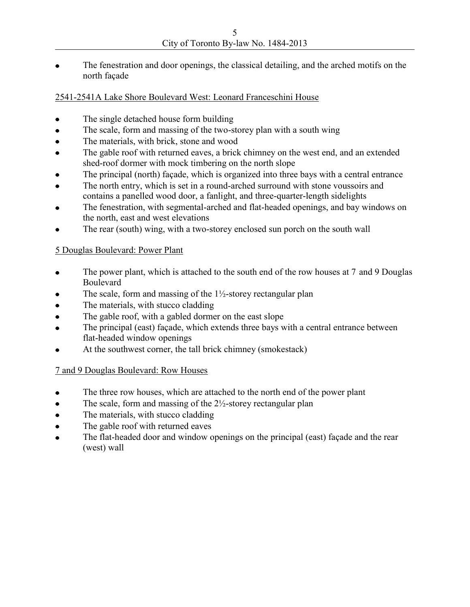The fenestration and door openings, the classical detailing, and the arched motifs on the north façade

# 2541-2541A Lake Shore Boulevard West: Leonard Franceschini House

- The single detached house form building  $\bullet$
- The scale, form and massing of the two-storey plan with a south wing  $\bullet$
- The materials, with brick, stone and wood  $\bullet$
- The gable roof with returned eaves, a brick chimney on the west end, and an extended  $\bullet$ shed-roof dormer with mock timbering on the north slope
- The principal (north) façade, which is organized into three bays with a central entrance
- The north entry, which is set in a round-arched surround with stone voussoirs and  $\bullet$ contains a panelled wood door, a fanlight, and three-quarter-length sidelights
- The fenestration, with segmental-arched and flat-headed openings, and bay windows on the north, east and west elevations
- The rear (south) wing, with a two-storey enclosed sun porch on the south wall

# 5 Douglas Boulevard: Power Plant

- The power plant, which is attached to the south end of the row houses at 7 and 9 Douglas  $\bullet$ Boulevard
- The scale, form and massing of the 1½-storey rectangular plan
- The materials, with stucco cladding  $\bullet$
- The gable roof, with a gabled dormer on the east slope  $\bullet$
- The principal (east) façade, which extends three bays with a central entrance between flat-headed window openings
- At the southwest corner, the tall brick chimney (smokestack)

# 7 and 9 Douglas Boulevard: Row Houses

- The three row houses, which are attached to the north end of the power plant  $\bullet$
- The scale, form and massing of the 2½-storey rectangular plan  $\bullet$
- The materials, with stucco cladding  $\bullet$
- The gable roof with returned eaves  $\bullet$
- The flat-headed door and window openings on the principal (east) façade and the rear  $\bullet$ (west) wall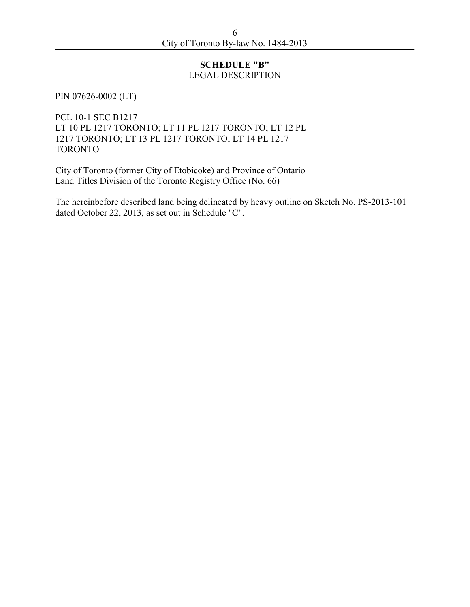#### **SCHEDULE "B"** LEGAL DESCRIPTION

PIN 07626-0002 (LT)

PCL 10-1 SEC B1217 LT 10 PL 1217 TORONTO; LT 11 PL 1217 TORONTO; LT 12 PL 1217 TORONTO; LT 13 PL 1217 TORONTO; LT 14 PL 1217 TORONTO

City of Toronto (former City of Etobicoke) and Province of Ontario Land Titles Division of the Toronto Registry Office (No. 66)

The hereinbefore described land being delineated by heavy outline on Sketch No. PS-2013-101 dated October 22, 2013, as set out in Schedule "C".